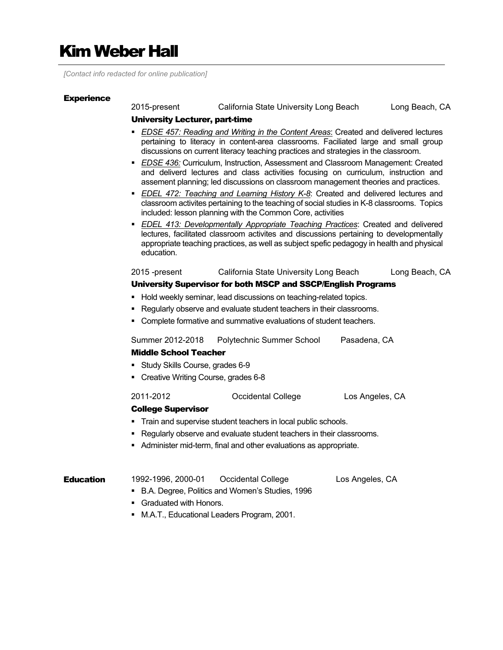# Kim Weber Hall

*[Contact info redacted for online publication]*

#### **Experience**

2015-present California State University Long Beach Long Beach, CA

#### University Lecturer, part-time

- *EDSE 457: Reading and Writing in the Content Areas*: Created and delivered lectures pertaining to literacy in content-area classrooms. Faciliated large and small group discussions on current literacy teaching practices and strategies in the classroom.
- *EDSE 436:* Curriculum, Instruction, Assessment and Classroom Management: Created and deliverd lectures and class activities focusing on curriculum, instruction and assement planning; led discussions on classroom management theories and practices.
- *EDEL 472: Teaching and Learning History K-8*: Created and delivered lectures and classroom activites pertaining to the teaching of social studies in K-8 classrooms. Topics included: lesson planning with the Common Core, activities
- *EDEL 413: Developmentally Appropriate Teaching Practices*: Created and delivered lectures, facilitated classroom activites and discussions pertaining to developmentally appropriate teaching practices, as well as subject spefic pedagogy in health and physical education.

### 2015 -present California State University Long Beach Long Beach, CA

#### University Supervisor for both MSCP and SSCP/English Programs

- **Hold weekly seminar, lead discussions on teaching-related topics.**
- Regularly observe and evaluate student teachers in their classrooms.
- Complete formative and summative evaluations of student teachers.

Summer 2012-2018 Polytechnic Summer School Pasadena, CA

#### Middle School Teacher

- Study Skills Course, grades 6-9
- Creative Writing Course, grades 6-8

#### 2011-2012 Occidental College Los Angeles, CA

#### College Supervisor

- Train and supervise student teachers in local public schools.
- **Regularly observe and evaluate student teachers in their classrooms.**
- Administer mid-term, final and other evaluations as appropriate.

## **Education** 1992-1996, 2000-01 Occidental College Los Angeles, CA ■ B.A. Degree, Politics and Women's Studies, 1996

- **Graduated with Honors.**
- M.A.T., Educational Leaders Program, 2001.